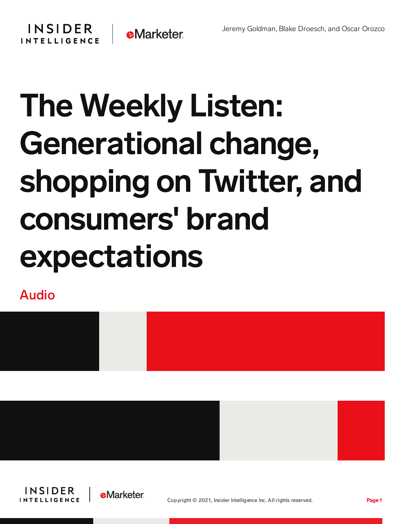## **INSIDER INTELLIGENCE**



## The Weekly Listen: Generational change, shopping on Twitter, and consumers' brand expectations

Audio